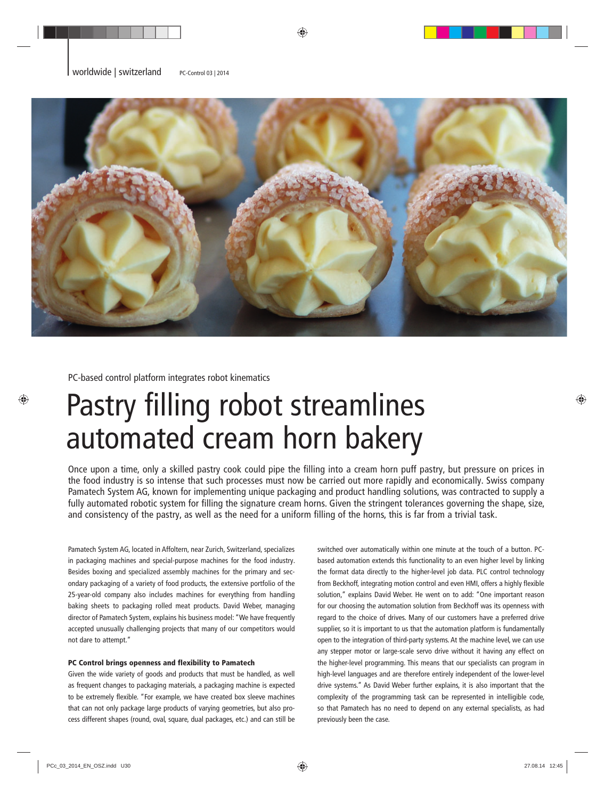

PC-based control platform integrates robot kinematics

## Pastry filling robot streamlines automated cream horn bakery

Once upon a time, only a skilled pastry cook could pipe the filling into a cream horn puff pastry, but pressure on prices in the food industry is so intense that such processes must now be carried out more rapidly and economically. Swiss company Pamatech System AG, known for implementing unique packaging and product handling solutions, was contracted to supply a fully automated robotic system for filling the signature cream horns. Given the stringent tolerances governing the shape, size, and consistency of the pastry, as well as the need for a uniform filling of the horns, this is far from a trivial task.

Pamatech System AG, located in Affoltern, near Zurich, Switzerland, specializes in packaging machines and special-purpose machines for the food industry. Besides boxing and specialized assembly machines for the primary and secondary packaging of a variety of food products, the extensive portfolio of the 25-year-old company also includes machines for everything from handling baking sheets to packaging rolled meat products. David Weber, managing director of Pamatech System, explains his business model: "We have frequently accepted unusually challenging projects that many of our competitors would not dare to attempt."

## PC Control brings openness and flexibility to Pamatech

Given the wide variety of goods and products that must be handled, as well as frequent changes to packaging materials, a packaging machine is expected to be extremely flexible. "For example, we have created box sleeve machines that can not only package large products of varying geometries, but also process different shapes (round, oval, square, dual packages, etc.) and can still be

switched over automatically within one minute at the touch of a button. PCbased automation extends this functionality to an even higher level by linking the format data directly to the higher-level job data. PLC control technology from Beckhoff, integrating motion control and even HMI, offers a highly flexible solution," explains David Weber. He went on to add: "One important reason for our choosing the automation solution from Beckhoff was its openness with regard to the choice of drives. Many of our customers have a preferred drive supplier, so it is important to us that the automation platform is fundamentally open to the integration of third-party systems. At the machine level, we can use any stepper motor or large-scale servo drive without it having any effect on the higher-level programming. This means that our specialists can program in high-level languages and are therefore entirely independent of the lower-level drive systems." As David Weber further explains, it is also important that the complexity of the programming task can be represented in intelligible code, so that Pamatech has no need to depend on any external specialists, as had previously been the case.